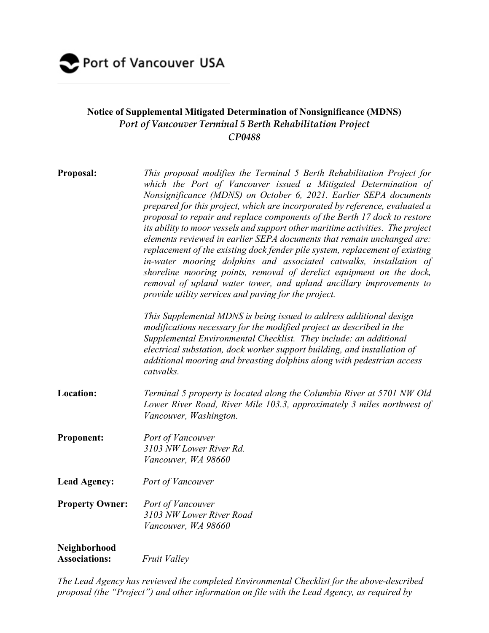

## **Notice of Supplemental Mitigated Determination of Nonsignificance (MDNS)** *Port of Vancouver Terminal 5 Berth Rehabilitation Project CP0488*

| Proposal:                            | This proposal modifies the Terminal 5 Berth Rehabilitation Project for<br>which the Port of Vancouver issued a Mitigated Determination of<br>Nonsignificance (MDNS) on October 6, 2021. Earlier SEPA documents<br>prepared for this project, which are incorporated by reference, evaluated a<br>proposal to repair and replace components of the Berth 17 dock to restore<br>its ability to moor vessels and support other maritime activities. The project<br>elements reviewed in earlier SEPA documents that remain unchanged are:<br>replacement of the existing dock fender pile system, replacement of existing<br>in-water mooring dolphins and associated catwalks, installation of<br>shoreline mooring points, removal of derelict equipment on the dock,<br>removal of upland water tower, and upland ancillary improvements to<br>provide utility services and paving for the project.<br>This Supplemental MDNS is being issued to address additional design<br>modifications necessary for the modified project as described in the<br>Supplemental Environmental Checklist. They include: an additional<br>electrical substation, dock worker support building, and installation of<br>additional mooring and breasting dolphins along with pedestrian access<br>catwalks. |
|--------------------------------------|--------------------------------------------------------------------------------------------------------------------------------------------------------------------------------------------------------------------------------------------------------------------------------------------------------------------------------------------------------------------------------------------------------------------------------------------------------------------------------------------------------------------------------------------------------------------------------------------------------------------------------------------------------------------------------------------------------------------------------------------------------------------------------------------------------------------------------------------------------------------------------------------------------------------------------------------------------------------------------------------------------------------------------------------------------------------------------------------------------------------------------------------------------------------------------------------------------------------------------------------------------------------------------------------|
| <b>Location:</b>                     | Terminal 5 property is located along the Columbia River at 5701 NW Old<br>Lower River Road, River Mile 103.3, approximately 3 miles northwest of<br>Vancouver, Washington.                                                                                                                                                                                                                                                                                                                                                                                                                                                                                                                                                                                                                                                                                                                                                                                                                                                                                                                                                                                                                                                                                                                 |
| <b>Proponent:</b>                    | Port of Vancouver<br>3103 NW Lower River Rd.<br>Vancouver, WA 98660                                                                                                                                                                                                                                                                                                                                                                                                                                                                                                                                                                                                                                                                                                                                                                                                                                                                                                                                                                                                                                                                                                                                                                                                                        |
| <b>Lead Agency:</b>                  | Port of Vancouver                                                                                                                                                                                                                                                                                                                                                                                                                                                                                                                                                                                                                                                                                                                                                                                                                                                                                                                                                                                                                                                                                                                                                                                                                                                                          |
| <b>Property Owner:</b>               | Port of Vancouver<br>3103 NW Lower River Road<br>Vancouver, WA 98660                                                                                                                                                                                                                                                                                                                                                                                                                                                                                                                                                                                                                                                                                                                                                                                                                                                                                                                                                                                                                                                                                                                                                                                                                       |
| Neighborhood<br><b>Associations:</b> | <b>Fruit Valley</b>                                                                                                                                                                                                                                                                                                                                                                                                                                                                                                                                                                                                                                                                                                                                                                                                                                                                                                                                                                                                                                                                                                                                                                                                                                                                        |

*The Lead Agency has reviewed the completed Environmental Checklist for the above-described proposal (the "Project") and other information on file with the Lead Agency, as required by*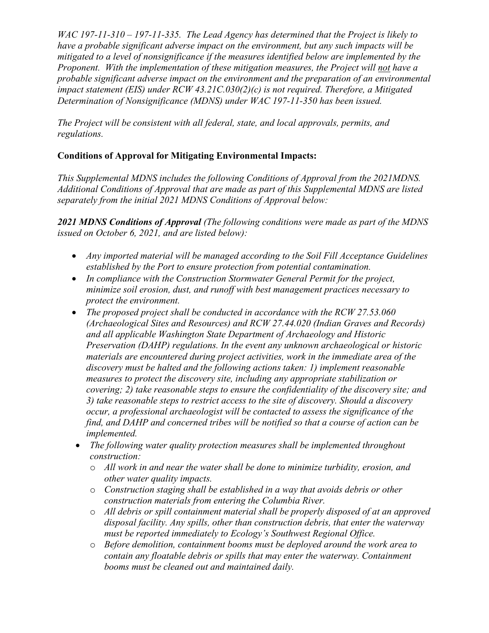*WAC 197-11-310 – 197-11-335. The Lead Agency has determined that the Project is likely to have a probable significant adverse impact on the environment, but any such impacts will be mitigated to a level of nonsignificance if the measures identified below are implemented by the Proponent. With the implementation of these mitigation measures, the Project will not have a probable significant adverse impact on the environment and the preparation of an environmental impact statement (EIS) under RCW 43.21C.030(2)(c) is not required. Therefore, a Mitigated Determination of Nonsignificance (MDNS) under WAC 197-11-350 has been issued.* 

*The Project will be consistent with all federal, state, and local approvals, permits, and regulations.* 

## **Conditions of Approval for Mitigating Environmental Impacts:**

*This Supplemental MDNS includes the following Conditions of Approval from the 2021MDNS. Additional Conditions of Approval that are made as part of this Supplemental MDNS are listed separately from the initial 2021 MDNS Conditions of Approval below:*

*2021 MDNS Conditions of Approval (The following conditions were made as part of the MDNS issued on October 6, 2021, and are listed below):*

- *Any imported material will be managed according to the Soil Fill Acceptance Guidelines established by the Port to ensure protection from potential contamination.*
- *In compliance with the Construction Stormwater General Permit for the project, minimize soil erosion, dust, and runoff with best management practices necessary to protect the environment.*
- *The proposed project shall be conducted in accordance with the RCW 27.53.060 (Archaeological Sites and Resources) and RCW 27.44.020 (Indian Graves and Records) and all applicable Washington State Department of Archaeology and Historic Preservation (DAHP) regulations. In the event any unknown archaeological or historic materials are encountered during project activities, work in the immediate area of the discovery must be halted and the following actions taken: 1) implement reasonable measures to protect the discovery site, including any appropriate stabilization or covering; 2) take reasonable steps to ensure the confidentiality of the discovery site; and 3) take reasonable steps to restrict access to the site of discovery. Should a discovery occur, a professional archaeologist will be contacted to assess the significance of the find, and DAHP and concerned tribes will be notified so that a course of action can be implemented.*
- *The following water quality protection measures shall be implemented throughout construction:*
	- o *All work in and near the water shall be done to minimize turbidity, erosion, and other water quality impacts.*
	- o *Construction staging shall be established in a way that avoids debris or other construction materials from entering the Columbia River.*
	- o *All debris or spill containment material shall be properly disposed of at an approved disposal facility. Any spills, other than construction debris, that enter the waterway must be reported immediately to Ecology's Southwest Regional Office.*
	- o *Before demolition, containment booms must be deployed around the work area to contain any floatable debris or spills that may enter the waterway. Containment booms must be cleaned out and maintained daily.*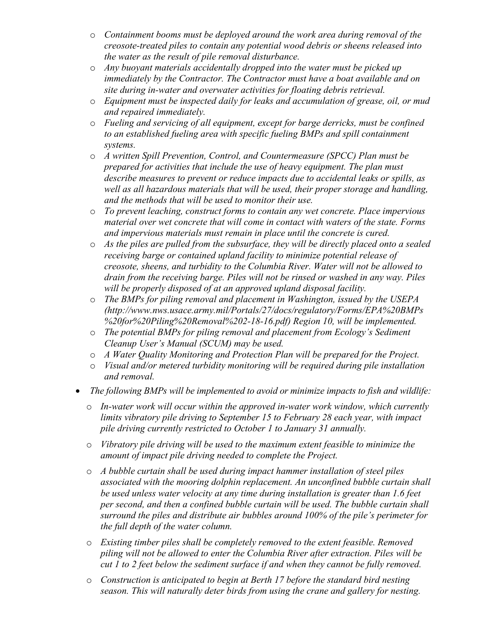- o *Containment booms must be deployed around the work area during removal of the creosote-treated piles to contain any potential wood debris or sheens released into the water as the result of pile removal disturbance.*
- o *Any buoyant materials accidentally dropped into the water must be picked up immediately by the Contractor. The Contractor must have a boat available and on site during in-water and overwater activities for floating debris retrieval.*
- o *Equipment must be inspected daily for leaks and accumulation of grease, oil, or mud and repaired immediately.*
- o *Fueling and servicing of all equipment, except for barge derricks, must be confined to an established fueling area with specific fueling BMPs and spill containment systems.*
- o *A written Spill Prevention, Control, and Countermeasure (SPCC) Plan must be prepared for activities that include the use of heavy equipment. The plan must describe measures to prevent or reduce impacts due to accidental leaks or spills, as well as all hazardous materials that will be used, their proper storage and handling, and the methods that will be used to monitor their use.*
- o *To prevent leaching, construct forms to contain any wet concrete. Place impervious material over wet concrete that will come in contact with waters of the state. Forms and impervious materials must remain in place until the concrete is cured.*
- o *As the piles are pulled from the subsurface, they will be directly placed onto a sealed receiving barge or contained upland facility to minimize potential release of creosote, sheens, and turbidity to the Columbia River. Water will not be allowed to drain from the receiving barge. Piles will not be rinsed or washed in any way. Piles will be properly disposed of at an approved upland disposal facility.*
- o *The BMPs for piling removal and placement in Washington, issued by the USEPA (http://www.nws.usace.army.mil/Portals/27/docs/regulatory/Forms/EPA%20BMPs %20for%20Piling%20Removal%202-18-16.pdf) Region 10, will be implemented.*
- o *The potential BMPs for piling removal and placement from Ecology's Sediment Cleanup User's Manual (SCUM) may be used.*
- o *A Water Quality Monitoring and Protection Plan will be prepared for the Project.*
- o *Visual and/or metered turbidity monitoring will be required during pile installation and removal.*
- *The following BMPs will be implemented to avoid or minimize impacts to fish and wildlife:*
	- o *In-water work will occur within the approved in-water work window, which currently limits vibratory pile driving to September 15 to February 28 each year, with impact pile driving currently restricted to October 1 to January 31 annually.*
	- o *Vibratory pile driving will be used to the maximum extent feasible to minimize the amount of impact pile driving needed to complete the Project.*
	- o *A bubble curtain shall be used during impact hammer installation of steel piles associated with the mooring dolphin replacement. An unconfined bubble curtain shall be used unless water velocity at any time during installation is greater than 1.6 feet per second, and then a confined bubble curtain will be used. The bubble curtain shall surround the piles and distribute air bubbles around 100% of the pile's perimeter for the full depth of the water column.*
	- o *Existing timber piles shall be completely removed to the extent feasible. Removed piling will not be allowed to enter the Columbia River after extraction. Piles will be cut 1 to 2 feet below the sediment surface if and when they cannot be fully removed.*
	- o *Construction is anticipated to begin at Berth 17 before the standard bird nesting season. This will naturally deter birds from using the crane and gallery for nesting.*